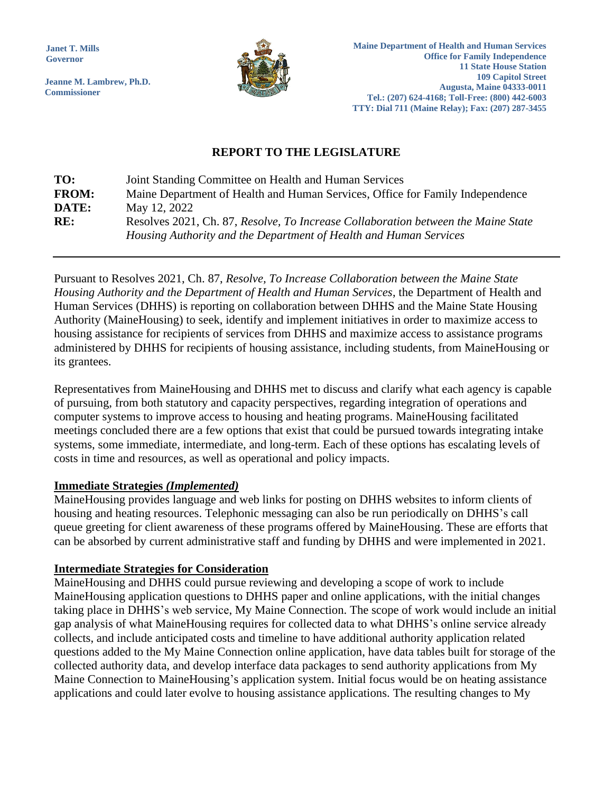**Janet T. Mills Governor**

**Jeanne M. Lambrew, Ph.D. Commissioner**



# **REPORT TO THE LEGISLATURE**

| TO:          | Joint Standing Committee on Health and Human Services                             |
|--------------|-----------------------------------------------------------------------------------|
| <b>FROM:</b> | Maine Department of Health and Human Services, Office for Family Independence     |
| DATE:        | May 12, 2022                                                                      |
| RE:          | Resolves 2021, Ch. 87, Resolve, To Increase Collaboration between the Maine State |
|              | Housing Authority and the Department of Health and Human Services                 |

Pursuant to Resolves 2021, Ch. 87, *Resolve, To Increase Collaboration between the Maine State Housing Authority and the Department of Health and Human Services*, the Department of Health and Human Services (DHHS) is reporting on collaboration between DHHS and the Maine State Housing Authority (MaineHousing) to seek, identify and implement initiatives in order to maximize access to housing assistance for recipients of services from DHHS and maximize access to assistance programs administered by DHHS for recipients of housing assistance, including students, from MaineHousing or its grantees.

Representatives from MaineHousing and DHHS met to discuss and clarify what each agency is capable of pursuing, from both statutory and capacity perspectives, regarding integration of operations and computer systems to improve access to housing and heating programs. MaineHousing facilitated meetings concluded there are a few options that exist that could be pursued towards integrating intake systems, some immediate, intermediate, and long-term. Each of these options has escalating levels of costs in time and resources, as well as operational and policy impacts.

# **Immediate Strategies** *(Implemented)*

MaineHousing provides language and web links for posting on DHHS websites to inform clients of housing and heating resources. Telephonic messaging can also be run periodically on DHHS's call queue greeting for client awareness of these programs offered by MaineHousing. These are efforts that can be absorbed by current administrative staff and funding by DHHS and were implemented in 2021.

# **Intermediate Strategies for Consideration**

MaineHousing and DHHS could pursue reviewing and developing a scope of work to include MaineHousing application questions to DHHS paper and online applications, with the initial changes taking place in DHHS's web service, My Maine Connection. The scope of work would include an initial gap analysis of what MaineHousing requires for collected data to what DHHS's online service already collects, and include anticipated costs and timeline to have additional authority application related questions added to the My Maine Connection online application, have data tables built for storage of the collected authority data, and develop interface data packages to send authority applications from My Maine Connection to MaineHousing's application system. Initial focus would be on heating assistance applications and could later evolve to housing assistance applications. The resulting changes to My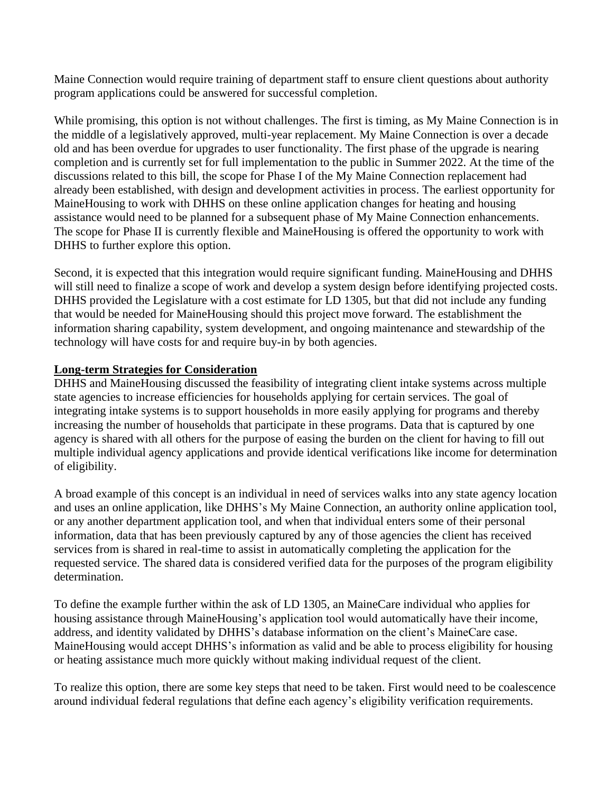Maine Connection would require training of department staff to ensure client questions about authority program applications could be answered for successful completion.

While promising, this option is not without challenges. The first is timing, as My Maine Connection is in the middle of a legislatively approved, multi-year replacement. My Maine Connection is over a decade old and has been overdue for upgrades to user functionality. The first phase of the upgrade is nearing completion and is currently set for full implementation to the public in Summer 2022. At the time of the discussions related to this bill, the scope for Phase I of the My Maine Connection replacement had already been established, with design and development activities in process. The earliest opportunity for MaineHousing to work with DHHS on these online application changes for heating and housing assistance would need to be planned for a subsequent phase of My Maine Connection enhancements. The scope for Phase II is currently flexible and MaineHousing is offered the opportunity to work with DHHS to further explore this option.

Second, it is expected that this integration would require significant funding. MaineHousing and DHHS will still need to finalize a scope of work and develop a system design before identifying projected costs. DHHS provided the Legislature with a cost estimate for LD 1305, but that did not include any funding that would be needed for MaineHousing should this project move forward. The establishment the information sharing capability, system development, and ongoing maintenance and stewardship of the technology will have costs for and require buy-in by both agencies.

## **Long-term Strategies for Consideration**

DHHS and MaineHousing discussed the feasibility of integrating client intake systems across multiple state agencies to increase efficiencies for households applying for certain services. The goal of integrating intake systems is to support households in more easily applying for programs and thereby increasing the number of households that participate in these programs. Data that is captured by one agency is shared with all others for the purpose of easing the burden on the client for having to fill out multiple individual agency applications and provide identical verifications like income for determination of eligibility.

A broad example of this concept is an individual in need of services walks into any state agency location and uses an online application, like DHHS's My Maine Connection, an authority online application tool, or any another department application tool, and when that individual enters some of their personal information, data that has been previously captured by any of those agencies the client has received services from is shared in real-time to assist in automatically completing the application for the requested service. The shared data is considered verified data for the purposes of the program eligibility determination.

To define the example further within the ask of LD 1305, an MaineCare individual who applies for housing assistance through MaineHousing's application tool would automatically have their income, address, and identity validated by DHHS's database information on the client's MaineCare case. MaineHousing would accept DHHS's information as valid and be able to process eligibility for housing or heating assistance much more quickly without making individual request of the client.

To realize this option, there are some key steps that need to be taken. First would need to be coalescence around individual federal regulations that define each agency's eligibility verification requirements.